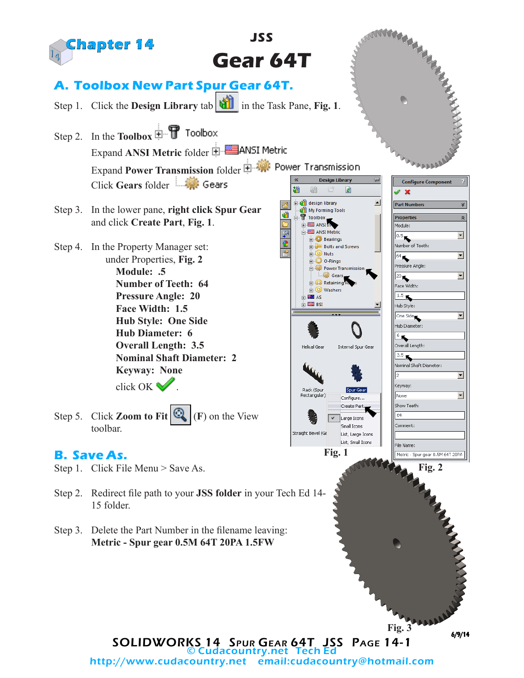

http://www.cudacountry.net email:cudacountry@hotmail.com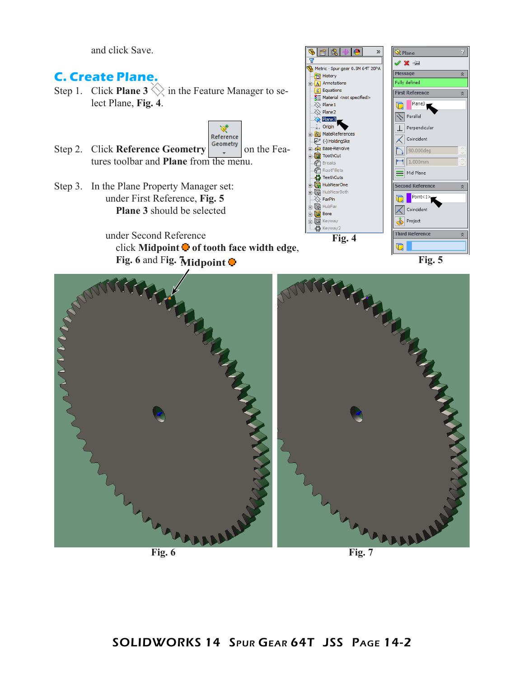and click Save.

## 6 R  $\diamondsuit$  Plane V X ÷ Metric - Spur gear 0.5M 64T 20PA Message **C. Create Plane. Fol** History Fully defined  $\mathbf{A}$  Annotations Step 1. Click **Plane 3**  $\Diamond$  in the Feature Manager to se- $\Sigma$  Equations **First Reference**  $\sqrt{\frac{3}{2}}$  Material <not specified> lect Plane, **Fig. 4**. Plane3  $\overline{\otimes}$  Plane 1  $\Box$  $\ddot{\diamondsuit}$  Plane2  $\sqrt{}$  Parallel  $\triangle$  Plane3 Origin  $\perp$  Perpendicular ∢ **S** MateRefe Reference  $\mathcal{L}$  Coincident  $\overline{P}$  (-) HoldingSke Step 2. Click **Reference Geometry**  $\begin{bmatrix} \text{Geometry} \\ \text{Simplify} \end{bmatrix}$  on the Fea-**GR** Base-Revolve  $\sqrt{90.000 \text{deg}}$ **For ToothCut** tures toolbar and **Plane** from the menu.  $\leftarrow$  1.000mm € **Breaks** @ RootFillets Mid Plane **Contract** HubNearOne Step 3. In the Plane Property Manager set: Second Refe<mark>r</mark>enc HubNearBoth under First Reference, **Fig. 5** Point<1  $\overline{\otimes}$  FarPln n **E** TR HubFar  **Plane 3** should be selected  $\overline{\mathcal{K}}$  Coincident  $\frac{1}{\sqrt{2}}$  Bore Project **E** Keyway ₹b Keyway2 **Third Reference** under Second Reference **Fig. 4**  $\blacksquare$ click **Midpoint**  $\bullet$  **of tooth face width edge**, **Fig. 6 and Fig. Midpoint**  $\bullet$ MARKANASA MARTIN

**Fig. 6 Fig. 7**

 $\bullet$ 

»